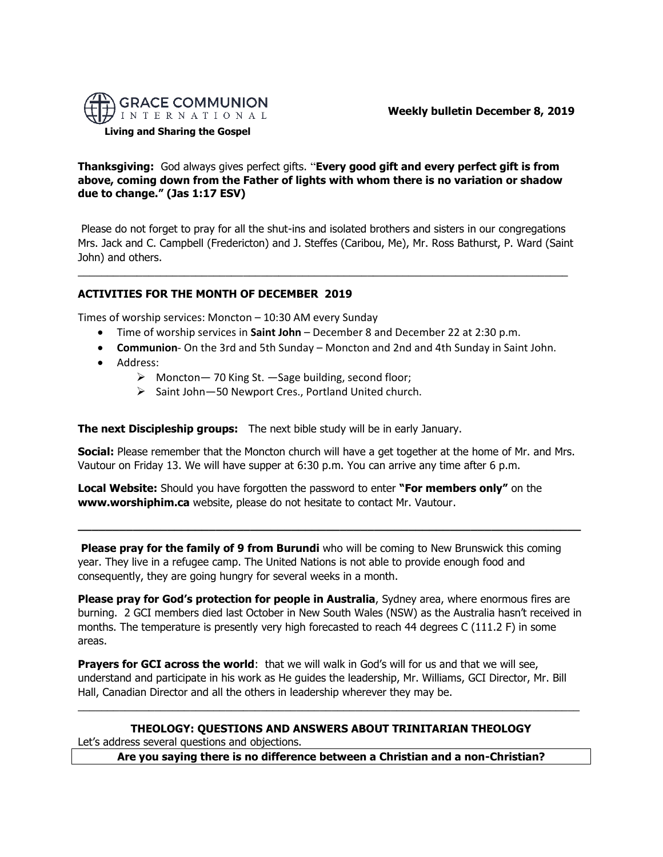

**Weekly bulletin December 8, 2019** 

**Living and Sharing the Gospel**

**Thanksgiving:** God always gives perfect gifts. "**Every good gift and every perfect gift is from above, coming down from the Father of lights with whom there is no variation or shadow due to change." (Jas 1:17 ESV)**

Please do not forget to pray for all the shut-ins and isolated brothers and sisters in our congregations Mrs. Jack and C. Campbell (Fredericton) and J. Steffes (Caribou, Me), Mr. Ross Bathurst, P. Ward (Saint John) and others.

 $\_$  ,  $\_$  ,  $\_$  ,  $\_$  ,  $\_$  ,  $\_$  ,  $\_$  ,  $\_$  ,  $\_$  ,  $\_$  ,  $\_$  ,  $\_$  ,  $\_$  ,  $\_$  ,  $\_$  ,  $\_$  ,  $\_$  ,  $\_$  ,  $\_$  ,  $\_$  ,  $\_$  ,  $\_$  ,  $\_$  ,  $\_$  ,  $\_$  ,  $\_$  ,  $\_$  ,  $\_$  ,  $\_$  ,  $\_$  ,  $\_$  ,  $\_$  ,  $\_$  ,  $\_$  ,  $\_$  ,  $\_$  ,  $\_$  ,

# **ACTIVITIES FOR THE MONTH OF DECEMBER 2019**

Times of worship services: Moncton – 10:30 AM every Sunday

- Time of worship services in **Saint John** December 8 and December 22 at 2:30 p.m.
- **Communion** On the 3rd and 5th Sunday Moncton and 2nd and 4th Sunday in Saint John.
- Address:
	- ➢ Moncton— 70 King St. —Sage building, second floor;
	- ➢ Saint John—50 Newport Cres., Portland United church.

**The next Discipleship groups:** The next bible study will be in early January.

**Social:** Please remember that the Moncton church will have a get together at the home of Mr. and Mrs. Vautour on Friday 13. We will have supper at 6:30 p.m. You can arrive any time after 6 p.m.

**Local Website:** Should you have forgotten the password to enter **"For members only"** on the **www.worshiphim.ca** website, please do not hesitate to contact Mr. Vautour.

**Please pray for the family of 9 from Burundi** who will be coming to New Brunswick this coming year. They live in a refugee camp. The United Nations is not able to provide enough food and consequently, they are going hungry for several weeks in a month.

**\_\_\_\_\_\_\_\_\_\_\_\_\_\_\_\_\_\_\_\_\_\_\_\_\_\_\_\_\_\_\_\_\_\_\_\_\_\_\_\_\_\_\_\_\_\_\_\_\_\_\_\_\_\_\_\_\_\_\_\_\_\_\_\_\_\_\_\_\_\_\_\_\_**

**Please pray for God's protection for people in Australia**, Sydney area, where enormous fires are burning. 2 GCI members died last October in New South Wales (NSW) as the Australia hasn't received in months. The temperature is presently very high forecasted to reach 44 degrees C (111.2 F) in some areas.

**Prayers for GCI across the world**: that we will walk in God's will for us and that we will see, understand and participate in his work as He guides the leadership, Mr. Williams, GCI Director, Mr. Bill Hall, Canadian Director and all the others in leadership wherever they may be.

# **THEOLOGY: QUESTIONS AND ANSWERS ABOUT TRINITARIAN THEOLOGY** Let's address several questions and objections.

**Are you saying there is no difference between a Christian and a non-Christian?**

 $\_$  , and the set of the set of the set of the set of the set of the set of the set of the set of the set of the set of the set of the set of the set of the set of the set of the set of the set of the set of the set of th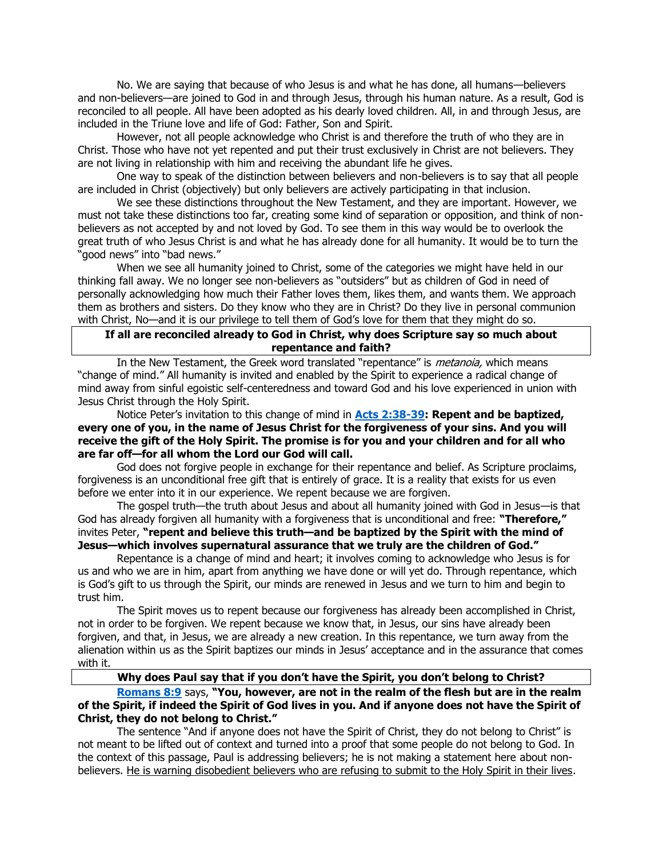No. We are saying that because of who Jesus is and what he has done, all humans—believers and non-believers—are joined to God in and through Jesus, through his human nature. As a result, God is reconciled to all people. All have been adopted as his dearly loved children. All, in and through Jesus, are included in the Triune love and life of God: Father, Son and Spirit.

However, not all people acknowledge who Christ is and therefore the truth of who they are in Christ. Those who have not yet repented and put their trust exclusively in Christ are not believers. They are not living in relationship with him and receiving the abundant life he gives.

One way to speak of the distinction between believers and non-believers is to say that all people are included in Christ (objectively) but only believers are actively participating in that inclusion.

We see these distinctions throughout the New Testament, and they are important. However, we must not take these distinctions too far, creating some kind of separation or opposition, and think of nonbelievers as not accepted by and not loved by God. To see them in this way would be to overlook the great truth of who Jesus Christ is and what he has already done for all humanity. It would be to turn the "good news" into "bad news."

When we see all humanity joined to Christ, some of the categories we might have held in our thinking fall away. We no longer see non-believers as "outsiders" but as children of God in need of personally acknowledging how much their Father loves them, likes them, and wants them. We approach them as brothers and sisters. Do they know who they are in Christ? Do they live in personal communion with Christ, No—and it is our privilege to tell them of God's love for them that they might do so.

#### **If all are reconciled already to God in Christ, why does Scripture say so much about repentance and faith?**

In the New Testament, the Greek word translated "repentance" is *metanoia*, which means "change of mind." All humanity is invited and enabled by the Spirit to experience a radical change of mind away from sinful egoistic self-centeredness and toward God and his love experienced in union with Jesus Christ through the Holy Spirit.

Notice Peter's invitation to this change of mind in **[Acts 2:38-39:](https://biblia.com/bible/niv/Acts%202.38-39) Repent and be baptized, every one of you, in the name of Jesus Christ for the forgiveness of your sins. And you will receive the gift of the Holy Spirit. The promise is for you and your children and for all who are far off—for all whom the Lord our God will call.**

God does not forgive people in exchange for their repentance and belief. As Scripture proclaims, forgiveness is an unconditional free gift that is entirely of grace. It is a reality that exists for us even before we enter into it in our experience. We repent because we are forgiven.

The gospel truth—the truth about Jesus and about all humanity joined with God in Jesus—is that God has already forgiven all humanity with a forgiveness that is unconditional and free: **"Therefore,"** invites Peter, **"repent and believe this truth—and be baptized by the Spirit with the mind of Jesus—which involves supernatural assurance that we truly are the children of God."**

Repentance is a change of mind and heart; it involves coming to acknowledge who Jesus is for us and who we are in him, apart from anything we have done or will yet do. Through repentance, which is God's gift to us through the Spirit, our minds are renewed in Jesus and we turn to him and begin to trust him.

The Spirit moves us to repent because our forgiveness has already been accomplished in Christ, not in order to be forgiven. We repent because we know that, in Jesus, our sins have already been forgiven, and that, in Jesus, we are already a new creation. In this repentance, we turn away from the alienation within us as the Spirit baptizes our minds in Jesus' acceptance and in the assurance that comes with it.

## **Why does Paul say that if you don't have the Spirit, you don't belong to Christ?**

## **[Romans 8:9](https://biblia.com/bible/niv/Rom%208.9)** says, **"You, however, are not in the realm of the flesh but are in the realm of the Spirit, if indeed the Spirit of God lives in you. And if anyone does not have the Spirit of Christ, they do not belong to Christ."**

The sentence "And if anyone does not have the Spirit of Christ, they do not belong to Christ" is not meant to be lifted out of context and turned into a proof that some people do not belong to God. In the context of this passage, Paul is addressing believers; he is not making a statement here about nonbelievers. He is warning disobedient believers who are refusing to submit to the Holy Spirit in their lives.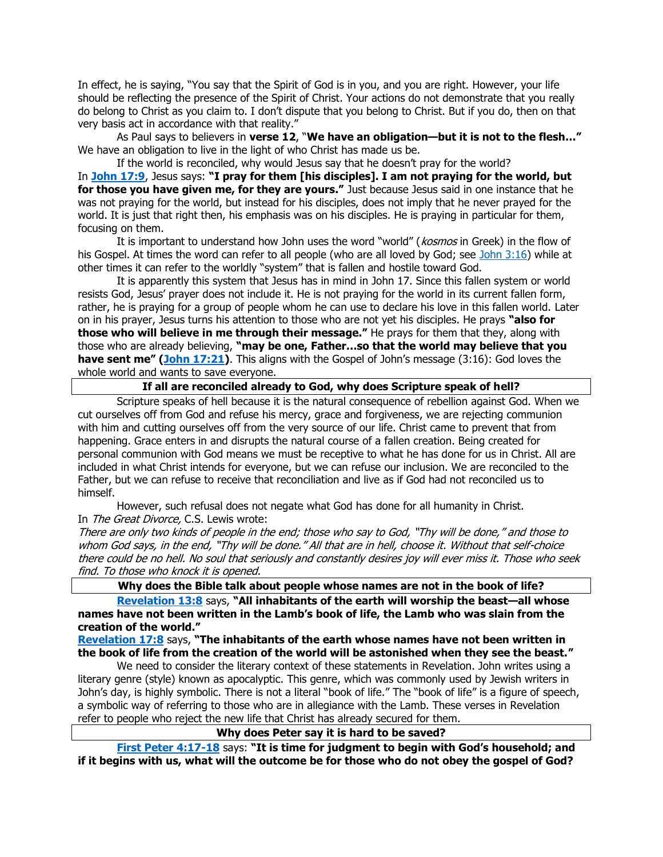In effect, he is saying, "You say that the Spirit of God is in you, and you are right. However, your life should be reflecting the presence of the Spirit of Christ. Your actions do not demonstrate that you really do belong to Christ as you claim to. I don't dispute that you belong to Christ. But if you do, then on that very basis act in accordance with that reality."

As Paul says to believers in **verse 12**, "**We have an obligation—but it is not to the flesh…"** We have an obligation to live in the light of who Christ has made us be.

If the world is reconciled, why would Jesus say that he doesn't pray for the world? In **[John 17:9](https://biblia.com/bible/niv/John%2017.9)**, Jesus says: **"I pray for them [his disciples]. I am not praying for the world, but for those you have given me, for they are yours."** Just because Jesus said in one instance that he was not praying for the world, but instead for his disciples, does not imply that he never prayed for the world. It is just that right then, his emphasis was on his disciples. He is praying in particular for them, focusing on them.

It is important to understand how John uses the word "world" (kosmos in Greek) in the flow of his Gospel. At times the word can refer to all people (who are all loved by God; see [John 3:16\)](https://biblia.com/bible/niv/John%203.16) while at other times it can refer to the worldly "system" that is fallen and hostile toward God.

It is apparently this system that Jesus has in mind in John 17. Since this fallen system or world resists God, Jesus' prayer does not include it. He is not praying for the world in its current fallen form, rather, he is praying for a group of people whom he can use to declare his love in this fallen world. Later on in his prayer, Jesus turns his attention to those who are not yet his disciples. He prays **"also for those who will believe in me through their message."** He prays for them that they, along with those who are already believing, **"may be one, Father…so that the world may believe that you have sent me" ([John 17:21\)](https://biblia.com/bible/niv/John%2017.21)**. This aligns with the Gospel of John's message (3:16): God loves the whole world and wants to save everyone.

#### **If all are reconciled already to God, why does Scripture speak of hell?**

Scripture speaks of hell because it is the natural consequence of rebellion against God. When we cut ourselves off from God and refuse his mercy, grace and forgiveness, we are rejecting communion with him and cutting ourselves off from the very source of our life. Christ came to prevent that from happening. Grace enters in and disrupts the natural course of a fallen creation. Being created for personal communion with God means we must be receptive to what he has done for us in Christ. All are included in what Christ intends for everyone, but we can refuse our inclusion. We are reconciled to the Father, but we can refuse to receive that reconciliation and live as if God had not reconciled us to himself.

However, such refusal does not negate what God has done for all humanity in Christ. In The Great Divorce, C.S. Lewis wrote:

There are only two kinds of people in the end; those who say to God, "Thy will be done," and those to whom God says, in the end, "Thy will be done." All that are in hell, choose it. Without that self-choice there could be no hell. No soul that seriously and constantly desires joy will ever miss it. Those who seek find. To those who knock it is opened.

#### **Why does the Bible talk about people whose names are not in the book of life?**

**[Revelation 13:8](https://biblia.com/bible/niv/Rev%2013.8)** says, **"All inhabitants of the earth will worship the beast—all whose names have not been written in the Lamb's book of life, the Lamb who was slain from the creation of the world."**

**[Revelation 17:8](https://biblia.com/bible/niv/Rev%2017.8)** says, **"The inhabitants of the earth whose names have not been written in the book of life from the creation of the world will be astonished when they see the beast."**

We need to consider the literary context of these statements in Revelation. John writes using a literary genre (style) known as apocalyptic. This genre, which was commonly used by Jewish writers in John's day, is highly symbolic. There is not a literal "book of life." The "book of life" is a figure of speech, a symbolic way of referring to those who are in allegiance with the Lamb. These verses in Revelation refer to people who reject the new life that Christ has already secured for them.

**Why does Peter say it is hard to be saved?**

**[First Peter 4:17-18](https://biblia.com/bible/niv/1%20Pet%204.17-18)** says: **"It is time for judgment to begin with God's household; and if it begins with us, what will the outcome be for those who do not obey the gospel of God?**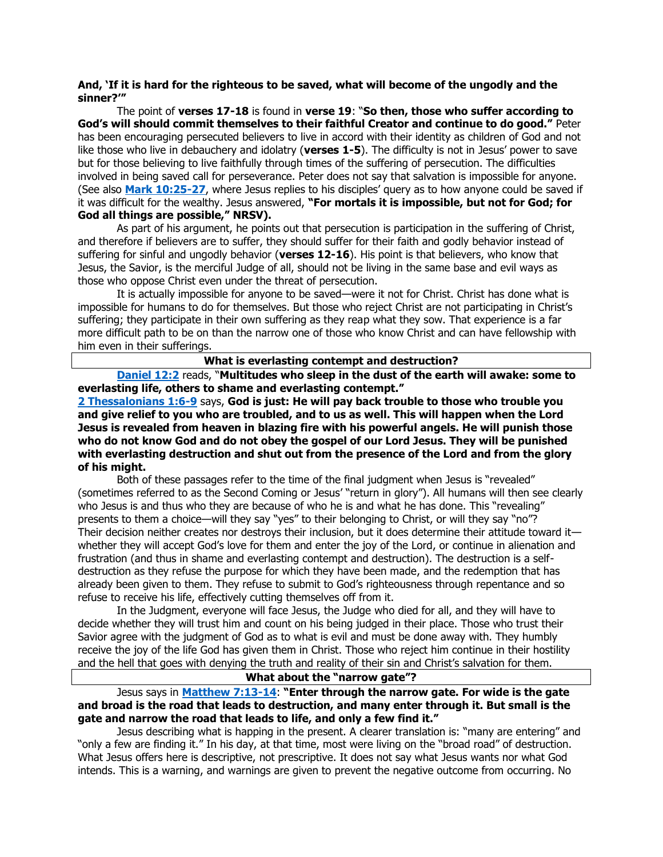### **And, 'If it is hard for the righteous to be saved, what will become of the ungodly and the sinner?'"**

The point of **verses 17-18** is found in **verse 19**: "**So then, those who suffer according to God's will should commit themselves to their faithful Creator and continue to do good."** Peter has been encouraging persecuted believers to live in accord with their identity as children of God and not like those who live in debauchery and idolatry (**verses 1-5**). The difficulty is not in Jesus' power to save but for those believing to live faithfully through times of the suffering of persecution. The difficulties involved in being saved call for perseverance. Peter does not say that salvation is impossible for anyone. (See also **[Mark 10:25-27](https://biblia.com/bible/niv/Mark%2010.25-27)**, where Jesus replies to his disciples' query as to how anyone could be saved if it was difficult for the wealthy. Jesus answered, **"For mortals it is impossible, but not for God; for God all things are possible," NRSV).**

As part of his argument, he points out that persecution is participation in the suffering of Christ, and therefore if believers are to suffer, they should suffer for their faith and godly behavior instead of suffering for sinful and ungodly behavior (**verses 12-16**). His point is that believers, who know that Jesus, the Savior, is the merciful Judge of all, should not be living in the same base and evil ways as those who oppose Christ even under the threat of persecution.

It is actually impossible for anyone to be saved—were it not for Christ. Christ has done what is impossible for humans to do for themselves. But those who reject Christ are not participating in Christ's suffering; they participate in their own suffering as they reap what they sow. That experience is a far more difficult path to be on than the narrow one of those who know Christ and can have fellowship with him even in their sufferings.

**What is everlasting contempt and destruction?**

**[Daniel 12:2](https://biblia.com/bible/niv/Dan%2012.2)** reads, "**Multitudes who sleep in the dust of the earth will awake: some to everlasting life, others to shame and everlasting contempt."**

**[2 Thessalonians 1:6-9](https://biblia.com/bible/niv/2%20Thess%201.6-9)** says, **God is just: He will pay back trouble to those who trouble you and give relief to you who are troubled, and to us as well. This will happen when the Lord Jesus is revealed from heaven in blazing fire with his powerful angels. He will punish those who do not know God and do not obey the gospel of our Lord Jesus. They will be punished with everlasting destruction and shut out from the presence of the Lord and from the glory of his might.**

Both of these passages refer to the time of the final judgment when Jesus is "revealed" (sometimes referred to as the Second Coming or Jesus' "return in glory"). All humans will then see clearly who Jesus is and thus who they are because of who he is and what he has done. This "revealing" presents to them a choice—will they say "yes" to their belonging to Christ, or will they say "no"? Their decision neither creates nor destroys their inclusion, but it does determine their attitude toward it whether they will accept God's love for them and enter the joy of the Lord, or continue in alienation and frustration (and thus in shame and everlasting contempt and destruction). The destruction is a selfdestruction as they refuse the purpose for which they have been made, and the redemption that has already been given to them. They refuse to submit to God's righteousness through repentance and so refuse to receive his life, effectively cutting themselves off from it.

In the Judgment, everyone will face Jesus, the Judge who died for all, and they will have to decide whether they will trust him and count on his being judged in their place. Those who trust their Savior agree with the judgment of God as to what is evil and must be done away with. They humbly receive the joy of the life God has given them in Christ. Those who reject him continue in their hostility and the hell that goes with denying the truth and reality of their sin and Christ's salvation for them.

### **What about the "narrow gate"?**

Jesus says in **[Matthew 7:13-14](https://biblia.com/bible/niv/Matt%207.13-14)**: **"Enter through the narrow gate. For wide is the gate and broad is the road that leads to destruction, and many enter through it. But small is the gate and narrow the road that leads to life, and only a few find it."**

Jesus describing what is happing in the present. A clearer translation is: "many are entering" and "only a few are finding it." In his day, at that time, most were living on the "broad road" of destruction. What Jesus offers here is descriptive, not prescriptive. It does not say what Jesus wants nor what God intends. This is a warning, and warnings are given to prevent the negative outcome from occurring. No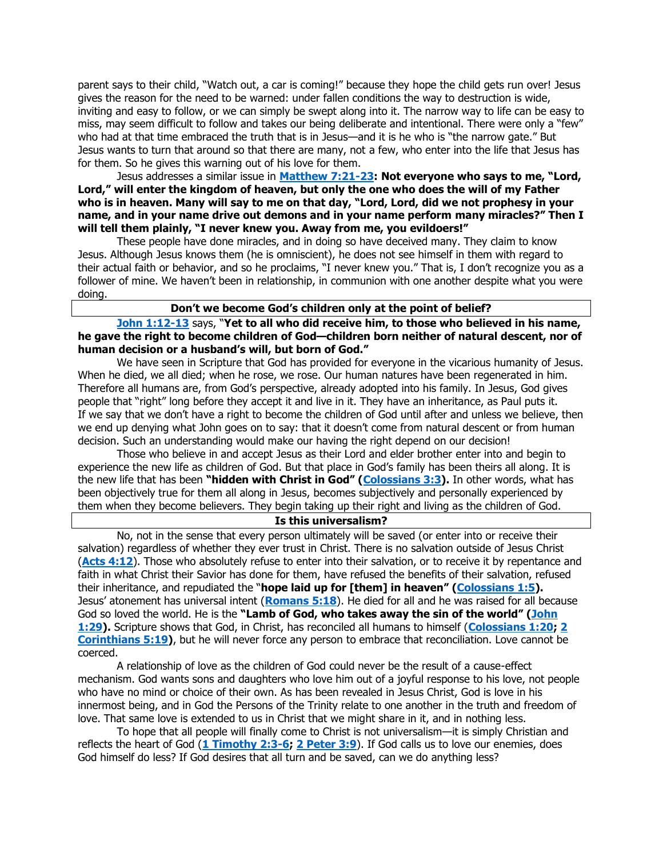parent says to their child, "Watch out, a car is coming!" because they hope the child gets run over! Jesus gives the reason for the need to be warned: under fallen conditions the way to destruction is wide, inviting and easy to follow, or we can simply be swept along into it. The narrow way to life can be easy to miss, may seem difficult to follow and takes our being deliberate and intentional. There were only a "few" who had at that time embraced the truth that is in Jesus—and it is he who is "the narrow gate." But Jesus wants to turn that around so that there are many, not a few, who enter into the life that Jesus has for them. So he gives this warning out of his love for them.

Jesus addresses a similar issue in **[Matthew 7:21-23:](https://biblia.com/bible/niv/Matt%207.21-23) Not everyone who says to me, "Lord, Lord," will enter the kingdom of heaven, but only the one who does the will of my Father who is in heaven. Many will say to me on that day, "Lord, Lord, did we not prophesy in your name, and in your name drive out demons and in your name perform many miracles?" Then I will tell them plainly, "I never knew you. Away from me, you evildoers!"**

These people have done miracles, and in doing so have deceived many. They claim to know Jesus. Although Jesus knows them (he is omniscient), he does not see himself in them with regard to their actual faith or behavior, and so he proclaims, "I never knew you." That is, I don't recognize you as a follower of mine. We haven't been in relationship, in communion with one another despite what you were doing.

#### **Don't we become God's children only at the point of belief?**

**[John 1:12-13](https://biblia.com/bible/niv/John%201.12-13)** says, "**Yet to all who did receive him, to those who believed in his name, he gave the right to become children of God—children born neither of natural descent, nor of human decision or a husband's will, but born of God."**

We have seen in Scripture that God has provided for everyone in the vicarious humanity of Jesus. When he died, we all died; when he rose, we rose. Our human natures have been regenerated in him. Therefore all humans are, from God's perspective, already adopted into his family. In Jesus, God gives people that "right" long before they accept it and live in it. They have an inheritance, as Paul puts it. If we say that we don't have a right to become the children of God until after and unless we believe, then we end up denying what John goes on to say: that it doesn't come from natural descent or from human decision. Such an understanding would make our having the right depend on our decision!

Those who believe in and accept Jesus as their Lord and elder brother enter into and begin to experience the new life as children of God. But that place in God's family has been theirs all along. It is the new life that has been **"hidden with Christ in God" ([Colossians 3:3\)](https://biblia.com/bible/niv/Col%203.3).** In other words, what has been objectively true for them all along in Jesus, becomes subjectively and personally experienced by them when they become believers. They begin taking up their right and living as the children of God.

### **Is this universalism?**

No, not in the sense that every person ultimately will be saved (or enter into or receive their salvation) regardless of whether they ever trust in Christ. There is no salvation outside of Jesus Christ (**[Acts 4:12](https://biblia.com/bible/niv/Acts%204.12)**). Those who absolutely refuse to enter into their salvation, or to receive it by repentance and faith in what Christ their Savior has done for them, have refused the benefits of their salvation, refused their inheritance, and repudiated the "**hope laid up for [them] in heaven" ([Colossians 1:5\)](https://biblia.com/bible/niv/Col%201.5).** Jesus' atonement has universal intent (**[Romans](https://biblia.com/bible/niv/Rom%205.18) 5:18**). He died for all and he was raised for all because God so loved the world. He is the **"Lamb of God, who takes away the sin of the world" ([John](https://biblia.com/bible/niv/John%201.29)  [1:29\)](https://biblia.com/bible/niv/John%201.29).** Scripture shows that God, in Christ, has reconciled all humans to himself (**[Colossians 1:20;](https://biblia.com/bible/niv/Col%201.20) [2](https://biblia.com/bible/niv/2%20Cor%205.19)  [Corinthians 5:19\)](https://biblia.com/bible/niv/2%20Cor%205.19)**, but he will never force any person to embrace that reconciliation. Love cannot be coerced.

A relationship of love as the children of God could never be the result of a cause-effect mechanism. God wants sons and daughters who love him out of a joyful response to his love, not people who have no mind or choice of their own. As has been revealed in Jesus Christ, God is love in his innermost being, and in God the Persons of the Trinity relate to one another in the truth and freedom of love. That same love is extended to us in Christ that we might share in it, and in nothing less.

To hope that all people will finally come to Christ is not universalism—it is simply Christian and reflects the heart of God (**[1 Timothy 2:3-6;](https://biblia.com/bible/niv/1%20Tim%202.3-6) [2 Peter 3:9](https://biblia.com/bible/niv/2%20Pet%203.9)**). If God calls us to love our enemies, does God himself do less? If God desires that all turn and be saved, can we do anything less?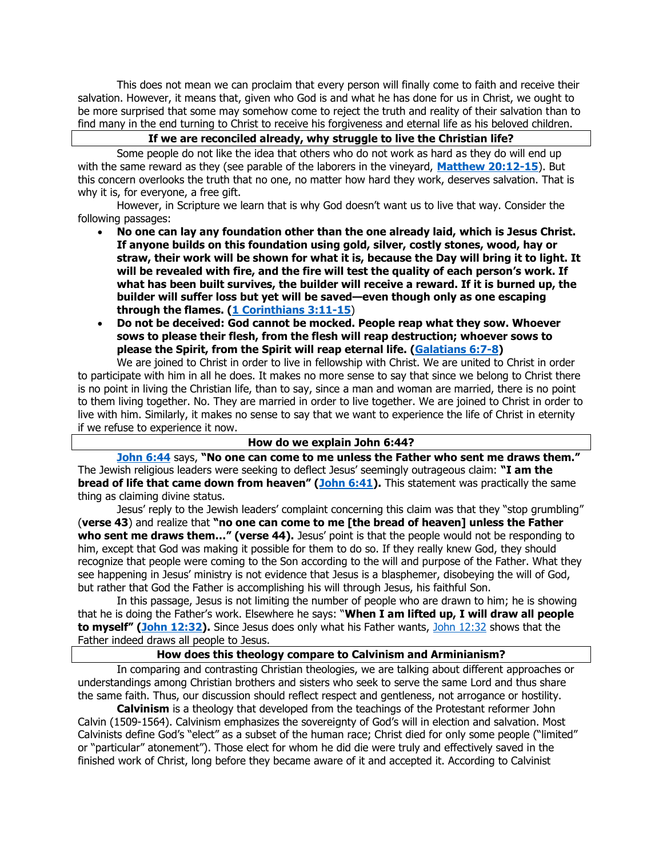This does not mean we can proclaim that every person will finally come to faith and receive their salvation. However, it means that, given who God is and what he has done for us in Christ, we ought to be more surprised that some may somehow come to reject the truth and reality of their salvation than to find many in the end turning to Christ to receive his forgiveness and eternal life as his beloved children.

#### **If we are reconciled already, why struggle to live the Christian life?**

Some people do not like the idea that others who do not work as hard as they do will end up with the same reward as they (see parable of the laborers in the vineyard, **[Matthew 20:12-15](https://biblia.com/bible/niv/Matt%2020.12-15)**). But this concern overlooks the truth that no one, no matter how hard they work, deserves salvation. That is why it is, for everyone, a free gift.

However, in Scripture we learn that is why God doesn't want us to live that way. Consider the following passages:

- **No one can lay any foundation other than the one already laid, which is Jesus Christ. If anyone builds on this foundation using gold, silver, costly stones, wood, hay or straw, their work will be shown for what it is, because the Day will bring it to light. It will be revealed with fire, and the fire will test the quality of each person's work. If what has been built survives, the builder will receive a reward. If it is burned up, the builder will suffer loss but yet will be saved—even though only as one escaping through the flames. [\(1 Corinthians 3:11-15](https://biblia.com/bible/niv/1%20Cor%203.11-15)**)
- **Do not be deceived: God cannot be mocked. People reap what they sow. Whoever sows to please their flesh, from the flesh will reap destruction; whoever sows to please the Spirit, from the Spirit will reap eternal life. [\(Galatians 6:7-8\)](https://biblia.com/bible/niv/Gal%206.7-8)**

We are joined to Christ in order to live in fellowship with Christ. We are united to Christ in order to participate with him in all he does. It makes no more sense to say that since we belong to Christ there is no point in living the Christian life, than to say, since a man and woman are married, there is no point to them living together. No. They are married in order to live together. We are joined to Christ in order to live with him. Similarly, it makes no sense to say that we want to experience the life of Christ in eternity if we refuse to experience it now.

#### **How do we explain John 6:44?**

**[John 6:44](https://biblia.com/bible/niv/John%206.44)** says, **"No one can come to me unless the Father who sent me draws them."** The Jewish religious leaders were seeking to deflect Jesus' seemingly outrageous claim: **"I am the bread of life that came down from heaven" ([John 6:41\)](https://biblia.com/bible/niv/John%206.41).** This statement was practically the same thing as claiming divine status.

Jesus' reply to the Jewish leaders' complaint concerning this claim was that they "stop grumbling" (**verse 43**) and realize that **"no one can come to me [the bread of heaven] unless the Father**  who sent me draws them..." (verse 44). Jesus' point is that the people would not be responding to him, except that God was making it possible for them to do so. If they really knew God, they should recognize that people were coming to the Son according to the will and purpose of the Father. What they see happening in Jesus' ministry is not evidence that Jesus is a blasphemer, disobeying the will of God, but rather that God the Father is accomplishing his will through Jesus, his faithful Son.

In this passage, Jesus is not limiting the number of people who are drawn to him; he is showing that he is doing the Father's work. Elsewhere he says: "**When I am lifted up, I will draw all people to myself" ([John 12:32\)](https://biblia.com/bible/niv/John%2012.32).** Since Jesus does only what his Father wants, [John 12:32](https://biblia.com/bible/niv/John%2012.32) shows that the Father indeed draws all people to Jesus.

### **How does this theology compare to Calvinism and Arminianism?**

In comparing and contrasting Christian theologies, we are talking about different approaches or understandings among Christian brothers and sisters who seek to serve the same Lord and thus share the same faith. Thus, our discussion should reflect respect and gentleness, not arrogance or hostility.

**Calvinism** is a theology that developed from the teachings of the Protestant reformer John Calvin (1509-1564). Calvinism emphasizes the sovereignty of God's will in election and salvation. Most Calvinists define God's "elect" as a subset of the human race; Christ died for only some people ("limited" or "particular" atonement"). Those elect for whom he did die were truly and effectively saved in the finished work of Christ, long before they became aware of it and accepted it. According to Calvinist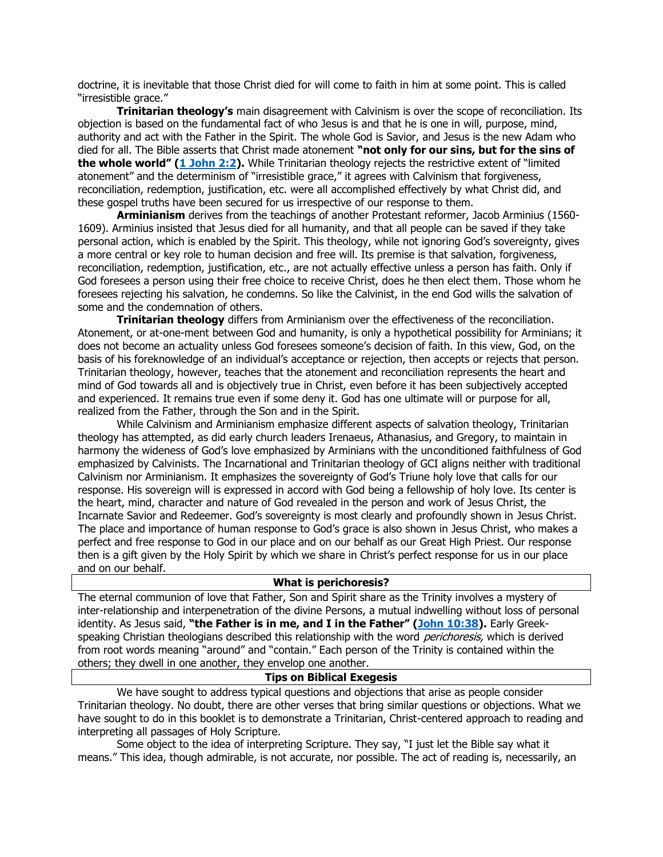doctrine, it is inevitable that those Christ died for will come to faith in him at some point. This is called "irresistible grace."

**Trinitarian theology's** main disagreement with Calvinism is over the scope of reconciliation. Its objection is based on the fundamental fact of who Jesus is and that he is one in will, purpose, mind, authority and act with the Father in the Spirit. The whole God is Savior, and Jesus is the new Adam who died for all. The Bible asserts that Christ made atonement **"not only for our sins, but for the sins of the whole world" ([1 John 2:2\)](https://biblia.com/bible/niv/1%20John%202.2).** While Trinitarian theology rejects the restrictive extent of "limited atonement" and the determinism of "irresistible grace," it agrees with Calvinism that forgiveness, reconciliation, redemption, justification, etc. were all accomplished effectively by what Christ did, and these gospel truths have been secured for us irrespective of our response to them.

**Arminianism** derives from the teachings of another Protestant reformer, Jacob Arminius (1560- 1609). Arminius insisted that Jesus died for all humanity, and that all people can be saved if they take personal action, which is enabled by the Spirit. This theology, while not ignoring God's sovereignty, gives a more central or key role to human decision and free will. Its premise is that salvation, forgiveness, reconciliation, redemption, justification, etc., are not actually effective unless a person has faith. Only if God foresees a person using their free choice to receive Christ, does he then elect them. Those whom he foresees rejecting his salvation, he condemns. So like the Calvinist, in the end God wills the salvation of some and the condemnation of others.

**Trinitarian theology** differs from Arminianism over the effectiveness of the reconciliation. Atonement, or at-one-ment between God and humanity, is only a hypothetical possibility for Arminians; it does not become an actuality unless God foresees someone's decision of faith. In this view, God, on the basis of his foreknowledge of an individual's acceptance or rejection, then accepts or rejects that person. Trinitarian theology, however, teaches that the atonement and reconciliation represents the heart and mind of God towards all and is objectively true in Christ, even before it has been subjectively accepted and experienced. It remains true even if some deny it. God has one ultimate will or purpose for all, realized from the Father, through the Son and in the Spirit.

While Calvinism and Arminianism emphasize different aspects of salvation theology, Trinitarian theology has attempted, as did early church leaders Irenaeus, Athanasius, and Gregory, to maintain in harmony the wideness of God's love emphasized by Arminians with the unconditioned faithfulness of God emphasized by Calvinists. The Incarnational and Trinitarian theology of GCI aligns neither with traditional Calvinism nor Arminianism. It emphasizes the sovereignty of God's Triune holy love that calls for our response. His sovereign will is expressed in accord with God being a fellowship of holy love. Its center is the heart, mind, character and nature of God revealed in the person and work of Jesus Christ, the Incarnate Savior and Redeemer. God's sovereignty is most clearly and profoundly shown in Jesus Christ. The place and importance of human response to God's grace is also shown in Jesus Christ, who makes a perfect and free response to God in our place and on our behalf as our Great High Priest. Our response then is a gift given by the Holy Spirit by which we share in Christ's perfect response for us in our place and on our behalf.

#### **What is perichoresis?**

The eternal communion of love that Father, Son and Spirit share as the Trinity involves a mystery of inter-relationship and interpenetration of the divine Persons, a mutual indwelling without loss of personal identity. As Jesus said, **"the Father is in me, and I in the Father" ([John 10:38\)](https://biblia.com/bible/niv/John%2010.38).** Early Greekspeaking Christian theologians described this relationship with the word *perichoresis*, which is derived from root words meaning "around" and "contain." Each person of the Trinity is contained within the others; they dwell in one another, they envelop one another.

## **Tips on Biblical Exegesis**

We have sought to address typical questions and objections that arise as people consider Trinitarian theology. No doubt, there are other verses that bring similar questions or objections. What we have sought to do in this booklet is to demonstrate a Trinitarian, Christ-centered approach to reading and interpreting all passages of Holy Scripture.

Some object to the idea of interpreting Scripture. They say, "I just let the Bible say what it means." This idea, though admirable, is not accurate, nor possible. The act of reading is, necessarily, an